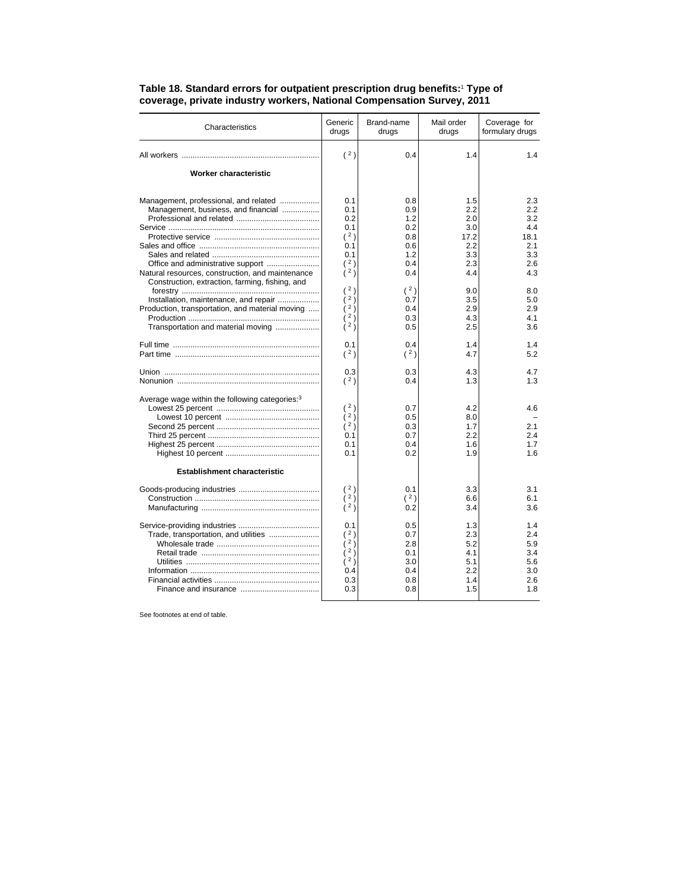| Characteristics                                            | Generic<br>drugs             | Brand-name<br>drugs | Mail order<br>drugs | Coverage for<br>formulary drugs |
|------------------------------------------------------------|------------------------------|---------------------|---------------------|---------------------------------|
|                                                            | (2)                          | 0.4                 | 1.4                 | 1.4                             |
| Worker characteristic                                      |                              |                     |                     |                                 |
| Management, professional, and related                      | 0.1                          | 0.8                 | 1.5                 | 2.3                             |
| Management, business, and financial                        | 0.1<br>0.2                   | 0.9<br>1.2          | 2.2<br>2.0          | $2.2\phantom{0}$<br>3.2         |
|                                                            | 0.1                          | 0.2                 | 3.0                 | 4.4                             |
|                                                            | (2)                          | 0.8                 | 17.2                | 18.1                            |
|                                                            | 0.1                          | 0.6                 | 2.2                 | 2.1                             |
|                                                            | 0.1                          | 1.2                 | 3.3                 | 3.3                             |
|                                                            | (2)                          | 0.4                 | 2.3                 | 2.6                             |
| Natural resources, construction, and maintenance           | (2)                          | 0.4                 | 4.4                 | 4.3                             |
| Construction, extraction, farming, fishing, and            |                              |                     |                     |                                 |
|                                                            | 2 <sub>1</sub>               | (2)                 | 9.0                 | 8.0                             |
| Installation, maintenance, and repair                      | $2 \frac{1}{2}$              | 0.7                 | 3.5                 | 5.0                             |
| Production, transportation, and material moving            | $2\frac{1}{2}$               | 0.4                 | 2.9                 | 2.9                             |
|                                                            | 2)<br>$\lambda^2$            | 0.3                 | 4.3                 | 4.1                             |
| Transportation and material moving                         |                              | 0.5                 | 2.5                 | 3.6                             |
|                                                            | 0.1                          | 0.4                 | 1.4                 | 1.4                             |
|                                                            | (2)                          | (2)                 | 4.7                 | 5.2                             |
|                                                            | 0.3                          | 0.3                 | 4.3                 | 4.7                             |
|                                                            | (2)                          | 0.4                 | 1.3                 | 1.3                             |
|                                                            |                              |                     |                     |                                 |
| Average wage within the following categories: <sup>3</sup> |                              |                     |                     |                                 |
|                                                            | (2)<br>$\lambda$ 2 $\lambda$ | 0.7                 | 4.2                 | 4.6                             |
|                                                            | (2)                          | 0.5<br>0.3          | 8.0<br>1.7          | 2.1                             |
|                                                            | 0.1                          | 0.7                 | 2.2                 | 2.4                             |
|                                                            | 0.1                          | 0.4                 | 1.6                 | 1.7                             |
|                                                            | 0.1                          | 0.2                 | 1.9                 | 1.6                             |
|                                                            |                              |                     |                     |                                 |
| <b>Establishment characteristic</b>                        |                              |                     |                     |                                 |
|                                                            | (2)                          | 0.1                 | 3.3                 | 3.1                             |
|                                                            | $\lambda^2$                  | (2)                 | 6.6                 | 6.1                             |
|                                                            | ì <sup>2</sup> )             | 0.2                 | 3.4                 | 3.6                             |
|                                                            | 0.1                          | 0.5                 | 1.3                 | 1.4                             |
| Trade, transportation, and utilities                       | (2)                          | 0.7                 | 2.3                 | 2.4                             |
|                                                            | 2j                           | 2.8                 | 5.2                 | 5.9                             |
|                                                            | $\frac{1}{2}$                | 0.1                 | 4.1                 | 3.4                             |
|                                                            | (2)                          | 3.0                 | 5.1                 | 5.6                             |
|                                                            | 0.4                          | 0.4                 | 2.2                 | 3.0                             |
|                                                            | 0.3                          | 0.8                 | 1.4                 | 2.6                             |
|                                                            | 0.3                          | 0.8                 | 1.5                 | 1.8                             |
|                                                            |                              |                     |                     |                                 |

## **Table 18. Standard errors for outpatient prescription drug benefits:**<sup>1</sup>  **Type of coverage, private industry workers, National Compensation Survey, 2011**

See footnotes at end of table.